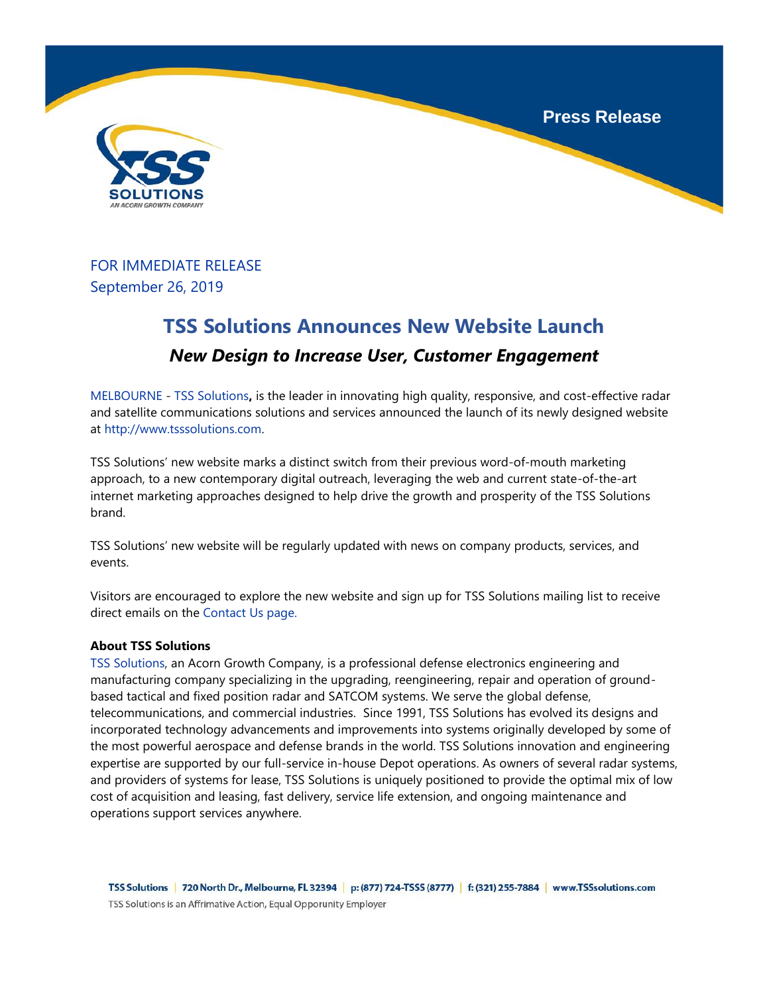**Press Release**





## FOR IMMEDIATE RELEASE September 26, 2019

## **TSS Solutions Announces New Website Launch** *New Design to Increase User, Customer Engagement*

MELBOURNE - TSS Solutions**,** is the leader in innovating high quality, responsive, and cost-effective radar and satellite communications solutions and services announced the launch of its newly designed website at http://www.tsssolutions.com.

TSS Solutions' new website marks a distinct switch from their previous word-of-mouth marketing approach, to a new contemporary digital outreach, leveraging the web and current state-of-the-art internet marketing approaches designed to help drive the growth and prosperity of the TSS Solutions brand.

TSS Solutions' new website will be regularly updated with news on company products, services, and events.

Visitors are encouraged to explore the new website and sign up for TSS Solutions mailing list to receive direct emails on the Contact Us page.

## **About TSS Solutions**

TSS Solutions, an Acorn Growth Company, is a professional defense electronics engineering and manufacturing company specializing in the upgrading, reengineering, repair and operation of groundbased tactical and fixed position radar and SATCOM systems. We serve the global defense, telecommunications, and commercial industries. Since 1991, TSS Solutions has evolved its designs and incorporated technology advancements and improvements into systems originally developed by some of the most powerful aerospace and defense brands in the world. TSS Solutions innovation and engineering expertise are supported by our full-service in-house Depot operations. As owners of several radar systems, and providers of systems for lease, TSS Solutions is uniquely positioned to provide the optimal mix of low cost of acquisition and leasing, fast delivery, service life extension, and ongoing maintenance and operations support services anywhere.